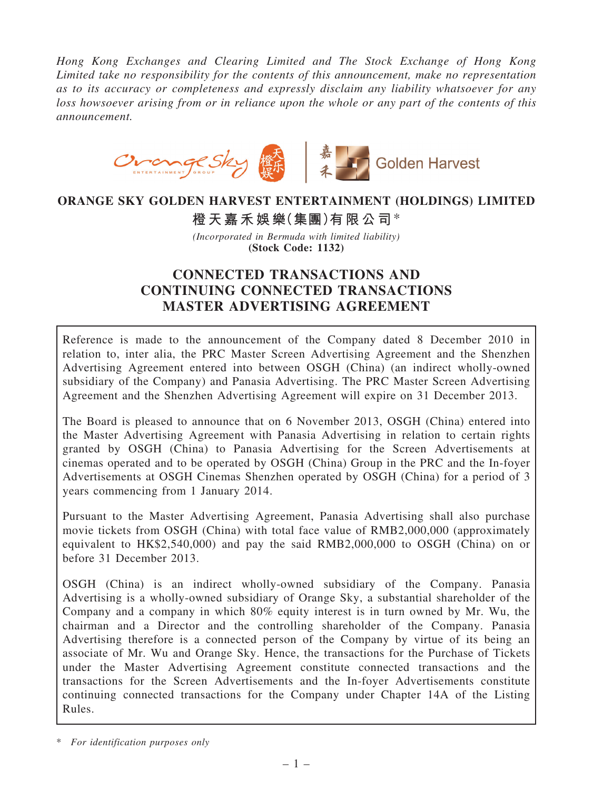Hong Kong Exchanges and Clearing Limited and The Stock Exchange of Hong Kong Limited take no responsibility for the contents of this announcement, make no representation as to its accuracy or completeness and expressly disclaim any liability whatsoever for any loss howsoever arising from or in reliance upon the whole or any part of the contents of this announcement.



## ORANGE SKY GOLDEN HARVEST ENTERTAINMENT (HOLDINGS) LIMITED

橙天嘉禾娛樂(集團)有限公司\*

(Incorporated in Bermuda with limited liability) (Stock Code: 1132)

# CONNECTED TRANSACTIONS AND CONTINUING CONNECTED TRANSACTIONS MASTER ADVERTISING AGREEMENT

Reference is made to the announcement of the Company dated 8 December 2010 in relation to, inter alia, the PRC Master Screen Advertising Agreement and the Shenzhen Advertising Agreement entered into between OSGH (China) (an indirect wholly-owned subsidiary of the Company) and Panasia Advertising. The PRC Master Screen Advertising Agreement and the Shenzhen Advertising Agreement will expire on 31 December 2013.

The Board is pleased to announce that on 6 November 2013, OSGH (China) entered into the Master Advertising Agreement with Panasia Advertising in relation to certain rights granted by OSGH (China) to Panasia Advertising for the Screen Advertisements at cinemas operated and to be operated by OSGH (China) Group in the PRC and the In-foyer Advertisements at OSGH Cinemas Shenzhen operated by OSGH (China) for a period of 3 years commencing from 1 January 2014.

Pursuant to the Master Advertising Agreement, Panasia Advertising shall also purchase movie tickets from OSGH (China) with total face value of RMB2,000,000 (approximately equivalent to HK\$2,540,000) and pay the said RMB2,000,000 to OSGH (China) on or before 31 December 2013.

OSGH (China) is an indirect wholly-owned subsidiary of the Company. Panasia Advertising is a wholly-owned subsidiary of Orange Sky, a substantial shareholder of the Company and a company in which 80% equity interest is in turn owned by Mr. Wu, the chairman and a Director and the controlling shareholder of the Company. Panasia Advertising therefore is a connected person of the Company by virtue of its being an associate of Mr. Wu and Orange Sky. Hence, the transactions for the Purchase of Tickets under the Master Advertising Agreement constitute connected transactions and the transactions for the Screen Advertisements and the In-foyer Advertisements constitute continuing connected transactions for the Company under Chapter 14A of the Listing Rules.

<sup>\*</sup> For identification purposes only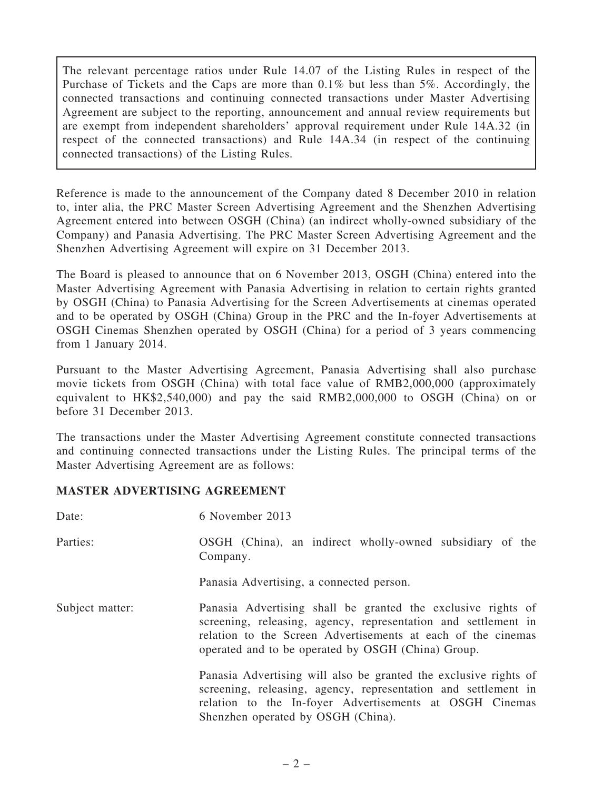The relevant percentage ratios under Rule 14.07 of the Listing Rules in respect of the Purchase of Tickets and the Caps are more than 0.1% but less than 5%. Accordingly, the connected transactions and continuing connected transactions under Master Advertising Agreement are subject to the reporting, announcement and annual review requirements but are exempt from independent shareholders' approval requirement under Rule 14A.32 (in respect of the connected transactions) and Rule 14A.34 (in respect of the continuing connected transactions) of the Listing Rules.

Reference is made to the announcement of the Company dated 8 December 2010 in relation to, inter alia, the PRC Master Screen Advertising Agreement and the Shenzhen Advertising Agreement entered into between OSGH (China) (an indirect wholly-owned subsidiary of the Company) and Panasia Advertising. The PRC Master Screen Advertising Agreement and the Shenzhen Advertising Agreement will expire on 31 December 2013.

The Board is pleased to announce that on 6 November 2013, OSGH (China) entered into the Master Advertising Agreement with Panasia Advertising in relation to certain rights granted by OSGH (China) to Panasia Advertising for the Screen Advertisements at cinemas operated and to be operated by OSGH (China) Group in the PRC and the In-foyer Advertisements at OSGH Cinemas Shenzhen operated by OSGH (China) for a period of 3 years commencing from 1 January 2014.

Pursuant to the Master Advertising Agreement, Panasia Advertising shall also purchase movie tickets from OSGH (China) with total face value of RMB2,000,000 (approximately equivalent to HK\$2,540,000) and pay the said RMB2,000,000 to OSGH (China) on or before 31 December 2013.

The transactions under the Master Advertising Agreement constitute connected transactions and continuing connected transactions under the Listing Rules. The principal terms of the Master Advertising Agreement are as follows:

## MASTER ADVERTISING AGREEMENT

| Date:           | 6 November 2013                                                                                                                                                                                                                                      |
|-----------------|------------------------------------------------------------------------------------------------------------------------------------------------------------------------------------------------------------------------------------------------------|
| Parties:        | OSGH (China), an indirect wholly-owned subsidiary of the<br>Company.                                                                                                                                                                                 |
|                 | Panasia Advertising, a connected person.                                                                                                                                                                                                             |
| Subject matter: | Panasia Advertising shall be granted the exclusive rights of<br>screening, releasing, agency, representation and settlement in<br>relation to the Screen Advertisements at each of the cinemas<br>operated and to be operated by OSGH (China) Group. |
|                 | Panasia Advertising will also be granted the exclusive rights of<br>screening, releasing, agency, representation and settlement in<br>relation to the In-foyer Advertisements at OSGH Cinemas<br>Shenzhen operated by OSGH (China).                  |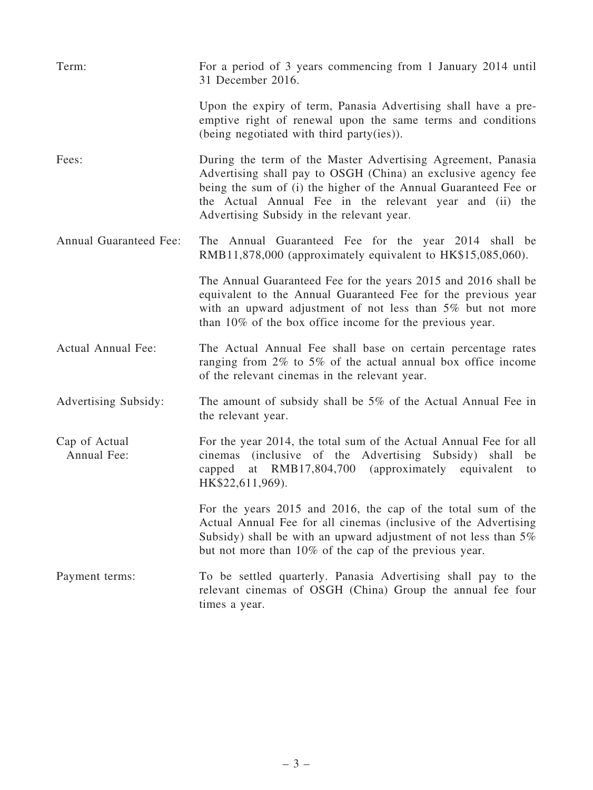| Term:                         | For a period of 3 years commencing from 1 January 2014 until<br>31 December 2016.                                                                                                                                                                                                                        |
|-------------------------------|----------------------------------------------------------------------------------------------------------------------------------------------------------------------------------------------------------------------------------------------------------------------------------------------------------|
|                               | Upon the expiry of term, Panasia Advertising shall have a pre-<br>emptive right of renewal upon the same terms and conditions<br>(being negotiated with third party(ies)).                                                                                                                               |
| Fees:                         | During the term of the Master Advertising Agreement, Panasia<br>Advertising shall pay to OSGH (China) an exclusive agency fee<br>being the sum of (i) the higher of the Annual Guaranteed Fee or<br>the Actual Annual Fee in the relevant year and (ii) the<br>Advertising Subsidy in the relevant year. |
| <b>Annual Guaranteed Fee:</b> | The Annual Guaranteed Fee for the year 2014 shall be<br>RMB11,878,000 (approximately equivalent to HK\$15,085,060).                                                                                                                                                                                      |
|                               | The Annual Guaranteed Fee for the years 2015 and 2016 shall be<br>equivalent to the Annual Guaranteed Fee for the previous year<br>with an upward adjustment of not less than 5% but not more<br>than 10% of the box office income for the previous year.                                                |
| Actual Annual Fee:            | The Actual Annual Fee shall base on certain percentage rates<br>ranging from $2\%$ to 5% of the actual annual box office income<br>of the relevant cinemas in the relevant year.                                                                                                                         |
| Advertising Subsidy:          | The amount of subsidy shall be $5\%$ of the Actual Annual Fee in<br>the relevant year.                                                                                                                                                                                                                   |
| Cap of Actual<br>Annual Fee:  | For the year 2014, the total sum of the Actual Annual Fee for all<br>cinemas (inclusive of the Advertising Subsidy) shall<br>be<br>at RMB17,804,700 (approximately equivalent<br>capped<br>to<br>HK\$22,611,969).                                                                                        |
|                               | For the years 2015 and 2016, the cap of the total sum of the<br>Actual Annual Fee for all cinemas (inclusive of the Advertising<br>Subsidy) shall be with an upward adjustment of not less than $5\%$<br>but not more than 10% of the cap of the previous year.                                          |
| Payment terms:                | To be settled quarterly. Panasia Advertising shall pay to the<br>relevant cinemas of OSGH (China) Group the annual fee four<br>times a year.                                                                                                                                                             |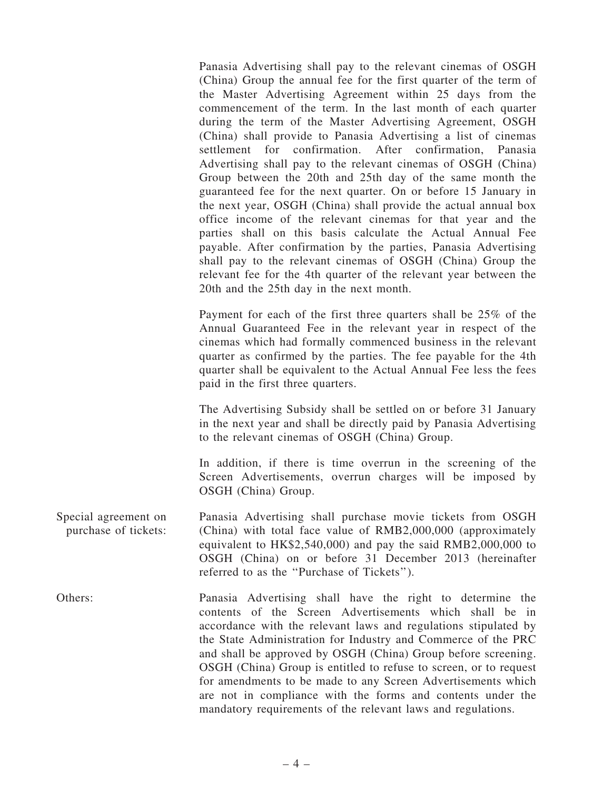Panasia Advertising shall pay to the relevant cinemas of OSGH (China) Group the annual fee for the first quarter of the term of the Master Advertising Agreement within 25 days from the commencement of the term. In the last month of each quarter during the term of the Master Advertising Agreement, OSGH (China) shall provide to Panasia Advertising a list of cinemas settlement for confirmation. After confirmation, Panasia Advertising shall pay to the relevant cinemas of OSGH (China) Group between the 20th and 25th day of the same month the guaranteed fee for the next quarter. On or before 15 January in the next year, OSGH (China) shall provide the actual annual box office income of the relevant cinemas for that year and the parties shall on this basis calculate the Actual Annual Fee payable. After confirmation by the parties, Panasia Advertising shall pay to the relevant cinemas of OSGH (China) Group the relevant fee for the 4th quarter of the relevant year between the 20th and the 25th day in the next month.

Payment for each of the first three quarters shall be 25% of the Annual Guaranteed Fee in the relevant year in respect of the cinemas which had formally commenced business in the relevant quarter as confirmed by the parties. The fee payable for the 4th quarter shall be equivalent to the Actual Annual Fee less the fees paid in the first three quarters.

The Advertising Subsidy shall be settled on or before 31 January in the next year and shall be directly paid by Panasia Advertising to the relevant cinemas of OSGH (China) Group.

In addition, if there is time overrun in the screening of the Screen Advertisements, overrun charges will be imposed by OSGH (China) Group.

- Special agreement on purchase of tickets: Panasia Advertising shall purchase movie tickets from OSGH (China) with total face value of RMB2,000,000 (approximately equivalent to HK\$2,540,000) and pay the said RMB2,000,000 to OSGH (China) on or before 31 December 2013 (hereinafter referred to as the ''Purchase of Tickets'').
- Others: Panasia Advertising shall have the right to determine the contents of the Screen Advertisements which shall be in accordance with the relevant laws and regulations stipulated by the State Administration for Industry and Commerce of the PRC and shall be approved by OSGH (China) Group before screening. OSGH (China) Group is entitled to refuse to screen, or to request for amendments to be made to any Screen Advertisements which are not in compliance with the forms and contents under the mandatory requirements of the relevant laws and regulations.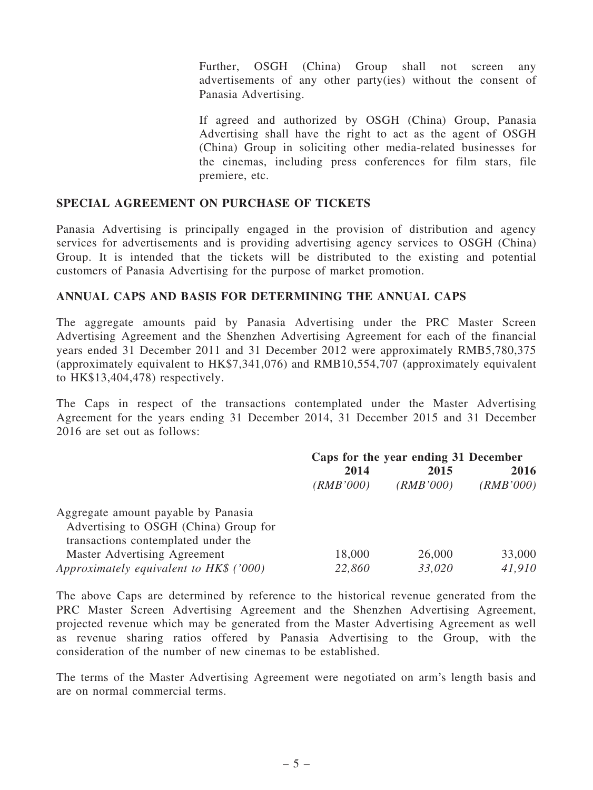Further, OSGH (China) Group shall not screen any advertisements of any other party(ies) without the consent of Panasia Advertising.

If agreed and authorized by OSGH (China) Group, Panasia Advertising shall have the right to act as the agent of OSGH (China) Group in soliciting other media-related businesses for the cinemas, including press conferences for film stars, file premiere, etc.

#### SPECIAL AGREEMENT ON PURCHASE OF TICKETS

Panasia Advertising is principally engaged in the provision of distribution and agency services for advertisements and is providing advertising agency services to OSGH (China) Group. It is intended that the tickets will be distributed to the existing and potential customers of Panasia Advertising for the purpose of market promotion.

### ANNUAL CAPS AND BASIS FOR DETERMINING THE ANNUAL CAPS

The aggregate amounts paid by Panasia Advertising under the PRC Master Screen Advertising Agreement and the Shenzhen Advertising Agreement for each of the financial years ended 31 December 2011 and 31 December 2012 were approximately RMB5,780,375 (approximately equivalent to HK\$7,341,076) and RMB10,554,707 (approximately equivalent to HK\$13,404,478) respectively.

The Caps in respect of the transactions contemplated under the Master Advertising Agreement for the years ending 31 December 2014, 31 December 2015 and 31 December 2016 are set out as follows:

|                                         | Caps for the year ending 31 December |           |           |
|-----------------------------------------|--------------------------------------|-----------|-----------|
|                                         | 2014                                 | 2015      | 2016      |
|                                         | (RMB'000)                            | (RMB'000) | (RMB'000) |
| Aggregate amount payable by Panasia     |                                      |           |           |
| Advertising to OSGH (China) Group for   |                                      |           |           |
| transactions contemplated under the     |                                      |           |           |
| Master Advertising Agreement            | 18,000                               | 26,000    | 33,000    |
| Approximately equivalent to HK\$ ('000) | 22,860                               | 33,020    | 41,910    |

The above Caps are determined by reference to the historical revenue generated from the PRC Master Screen Advertising Agreement and the Shenzhen Advertising Agreement, projected revenue which may be generated from the Master Advertising Agreement as well as revenue sharing ratios offered by Panasia Advertising to the Group, with the consideration of the number of new cinemas to be established.

The terms of the Master Advertising Agreement were negotiated on arm's length basis and are on normal commercial terms.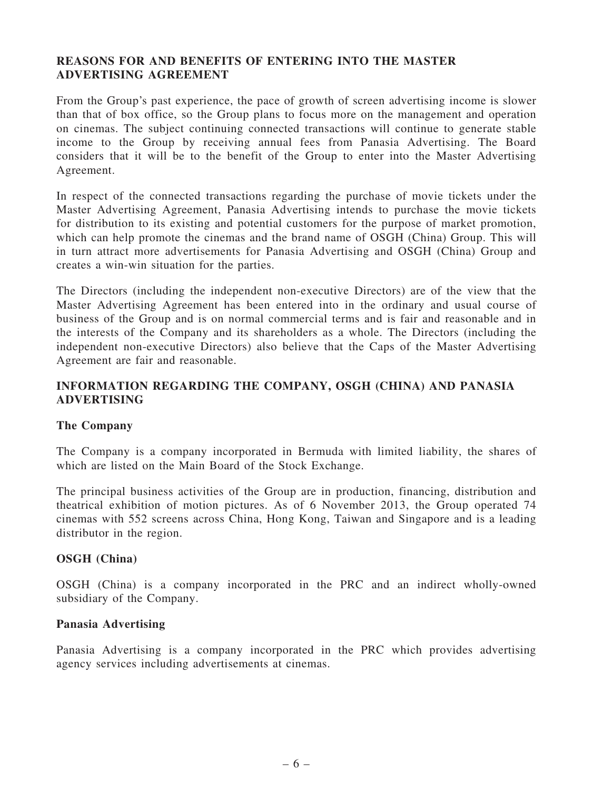## REASONS FOR AND BENEFITS OF ENTERING INTO THE MASTER ADVERTISING AGREEMENT

From the Group's past experience, the pace of growth of screen advertising income is slower than that of box office, so the Group plans to focus more on the management and operation on cinemas. The subject continuing connected transactions will continue to generate stable income to the Group by receiving annual fees from Panasia Advertising. The Board considers that it will be to the benefit of the Group to enter into the Master Advertising Agreement.

In respect of the connected transactions regarding the purchase of movie tickets under the Master Advertising Agreement, Panasia Advertising intends to purchase the movie tickets for distribution to its existing and potential customers for the purpose of market promotion, which can help promote the cinemas and the brand name of OSGH (China) Group. This will in turn attract more advertisements for Panasia Advertising and OSGH (China) Group and creates a win-win situation for the parties.

The Directors (including the independent non-executive Directors) are of the view that the Master Advertising Agreement has been entered into in the ordinary and usual course of business of the Group and is on normal commercial terms and is fair and reasonable and in the interests of the Company and its shareholders as a whole. The Directors (including the independent non-executive Directors) also believe that the Caps of the Master Advertising Agreement are fair and reasonable.

## INFORMATION REGARDING THE COMPANY, OSGH (CHINA) AND PANASIA ADVERTISING

#### The Company

The Company is a company incorporated in Bermuda with limited liability, the shares of which are listed on the Main Board of the Stock Exchange.

The principal business activities of the Group are in production, financing, distribution and theatrical exhibition of motion pictures. As of 6 November 2013, the Group operated 74 cinemas with 552 screens across China, Hong Kong, Taiwan and Singapore and is a leading distributor in the region.

#### OSGH (China)

OSGH (China) is a company incorporated in the PRC and an indirect wholly-owned subsidiary of the Company.

#### Panasia Advertising

Panasia Advertising is a company incorporated in the PRC which provides advertising agency services including advertisements at cinemas.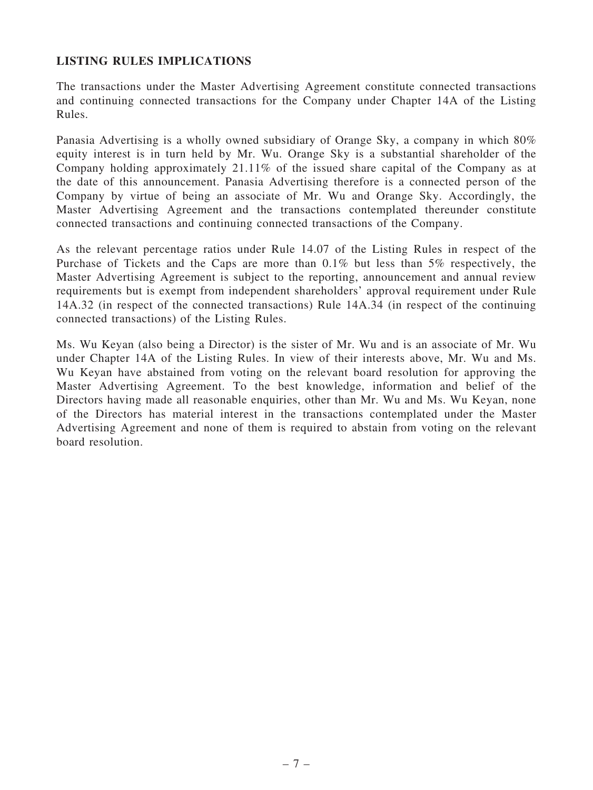### LISTING RULES IMPLICATIONS

The transactions under the Master Advertising Agreement constitute connected transactions and continuing connected transactions for the Company under Chapter 14A of the Listing Rules.

Panasia Advertising is a wholly owned subsidiary of Orange Sky, a company in which 80% equity interest is in turn held by Mr. Wu. Orange Sky is a substantial shareholder of the Company holding approximately 21.11% of the issued share capital of the Company as at the date of this announcement. Panasia Advertising therefore is a connected person of the Company by virtue of being an associate of Mr. Wu and Orange Sky. Accordingly, the Master Advertising Agreement and the transactions contemplated thereunder constitute connected transactions and continuing connected transactions of the Company.

As the relevant percentage ratios under Rule 14.07 of the Listing Rules in respect of the Purchase of Tickets and the Caps are more than 0.1% but less than 5% respectively, the Master Advertising Agreement is subject to the reporting, announcement and annual review requirements but is exempt from independent shareholders' approval requirement under Rule 14A.32 (in respect of the connected transactions) Rule 14A.34 (in respect of the continuing connected transactions) of the Listing Rules.

Ms. Wu Keyan (also being a Director) is the sister of Mr. Wu and is an associate of Mr. Wu under Chapter 14A of the Listing Rules. In view of their interests above, Mr. Wu and Ms. Wu Keyan have abstained from voting on the relevant board resolution for approving the Master Advertising Agreement. To the best knowledge, information and belief of the Directors having made all reasonable enquiries, other than Mr. Wu and Ms. Wu Keyan, none of the Directors has material interest in the transactions contemplated under the Master Advertising Agreement and none of them is required to abstain from voting on the relevant board resolution.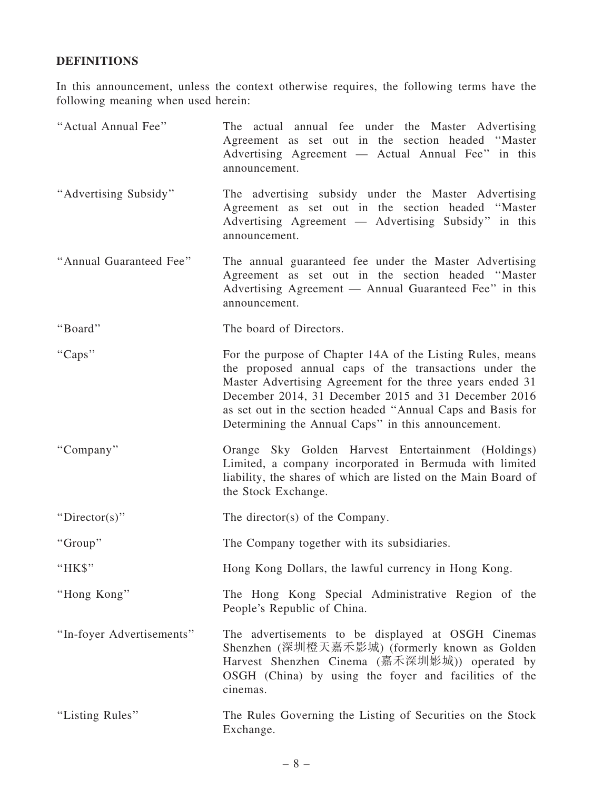## DEFINITIONS

In this announcement, unless the context otherwise requires, the following terms have the following meaning when used herein:

| "Actual Annual Fee"       | The actual annual fee under the Master Advertising<br>Agreement as set out in the section headed "Master<br>Advertising Agreement — Actual Annual Fee" in this<br>announcement.                                                                                                                                                                                |
|---------------------------|----------------------------------------------------------------------------------------------------------------------------------------------------------------------------------------------------------------------------------------------------------------------------------------------------------------------------------------------------------------|
| "Advertising Subsidy"     | The advertising subsidy under the Master Advertising<br>Agreement as set out in the section headed "Master<br>Advertising Agreement — Advertising Subsidy" in this<br>announcement.                                                                                                                                                                            |
| "Annual Guaranteed Fee"   | The annual guaranteed fee under the Master Advertising<br>Agreement as set out in the section headed "Master<br>Advertising Agreement — Annual Guaranteed Fee" in this<br>announcement.                                                                                                                                                                        |
| "Board"                   | The board of Directors.                                                                                                                                                                                                                                                                                                                                        |
| "Caps"                    | For the purpose of Chapter 14A of the Listing Rules, means<br>the proposed annual caps of the transactions under the<br>Master Advertising Agreement for the three years ended 31<br>December 2014, 31 December 2015 and 31 December 2016<br>as set out in the section headed "Annual Caps and Basis for<br>Determining the Annual Caps" in this announcement. |
| "Company"                 | Orange Sky Golden Harvest Entertainment (Holdings)<br>Limited, a company incorporated in Bermuda with limited<br>liability, the shares of which are listed on the Main Board of<br>the Stock Exchange.                                                                                                                                                         |
| "Director(s)"             | The director(s) of the Company.                                                                                                                                                                                                                                                                                                                                |
| "Group"                   | The Company together with its subsidiaries.                                                                                                                                                                                                                                                                                                                    |
| "HK\$"                    | Hong Kong Dollars, the lawful currency in Hong Kong.                                                                                                                                                                                                                                                                                                           |
| "Hong Kong"               | The Hong Kong Special Administrative Region of the<br>People's Republic of China.                                                                                                                                                                                                                                                                              |
| "In-foyer Advertisements" | The advertisements to be displayed at OSGH Cinemas<br>Shenzhen (深圳橙天嘉禾影城) (formerly known as Golden<br>Harvest Shenzhen Cinema (嘉禾深圳影城)) operated by<br>OSGH (China) by using the foyer and facilities of the<br>cinemas.                                                                                                                                      |
| "Listing Rules"           | The Rules Governing the Listing of Securities on the Stock<br>Exchange.                                                                                                                                                                                                                                                                                        |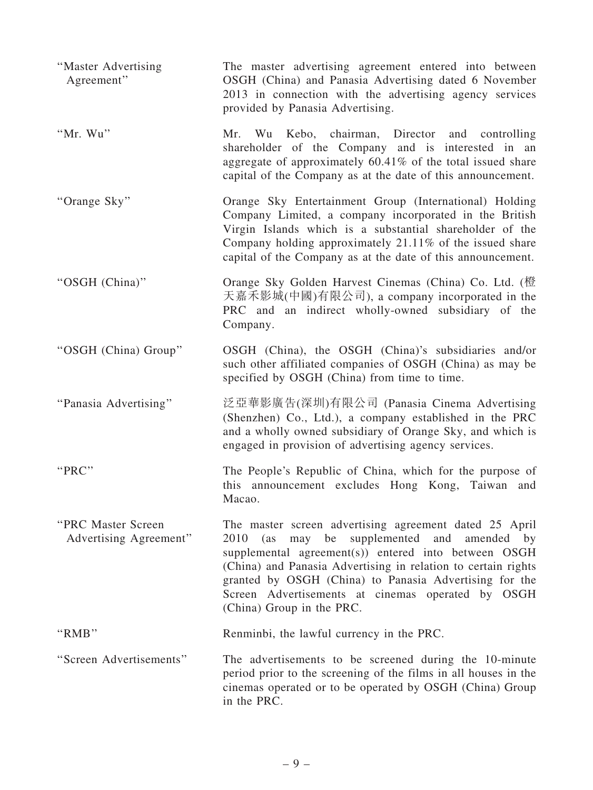| "Master Advertising<br>Agreement"            | The master advertising agreement entered into between<br>OSGH (China) and Panasia Advertising dated 6 November<br>2013 in connection with the advertising agency services<br>provided by Panasia Advertising.                                                                                                                                                                          |
|----------------------------------------------|----------------------------------------------------------------------------------------------------------------------------------------------------------------------------------------------------------------------------------------------------------------------------------------------------------------------------------------------------------------------------------------|
| "Mr. Wu"                                     | Mr. Wu Kebo, chairman, Director and controlling<br>shareholder of the Company and is interested in an<br>aggregate of approximately 60.41% of the total issued share<br>capital of the Company as at the date of this announcement.                                                                                                                                                    |
| "Orange Sky"                                 | Orange Sky Entertainment Group (International) Holding<br>Company Limited, a company incorporated in the British<br>Virgin Islands which is a substantial shareholder of the<br>Company holding approximately 21.11% of the issued share<br>capital of the Company as at the date of this announcement.                                                                                |
| "OSGH (China)"                               | Orange Sky Golden Harvest Cinemas (China) Co. Ltd. (橙<br>天嘉禾影城(中國)有限公司), a company incorporated in the<br>PRC and an indirect wholly-owned subsidiary of the<br>Company.                                                                                                                                                                                                               |
| "OSGH (China) Group"                         | OSGH (China), the OSGH (China)'s subsidiaries and/or<br>such other affiliated companies of OSGH (China) as may be<br>specified by OSGH (China) from time to time.                                                                                                                                                                                                                      |
| "Panasia Advertising"                        | 泛亞華影廣告(深圳)有限公司 (Panasia Cinema Advertising<br>(Shenzhen) Co., Ltd.), a company established in the PRC<br>and a wholly owned subsidiary of Orange Sky, and which is<br>engaged in provision of advertising agency services.                                                                                                                                                             |
| "PRC"                                        | The People's Republic of China, which for the purpose of<br>this announcement excludes Hong Kong, Taiwan and<br>Macao.                                                                                                                                                                                                                                                                 |
| "PRC Master Screen<br>Advertising Agreement" | The master screen advertising agreement dated 25 April<br>may be<br>supplemented and amended<br>2010<br>(as<br>by<br>supplemental agreement(s)) entered into between OSGH<br>(China) and Panasia Advertising in relation to certain rights<br>granted by OSGH (China) to Panasia Advertising for the<br>Screen Advertisements at cinemas operated by OSGH<br>(China) Group in the PRC. |
| "RMB"                                        | Renminbi, the lawful currency in the PRC.                                                                                                                                                                                                                                                                                                                                              |
| "Screen Advertisements"                      | The advertisements to be screened during the 10-minute<br>period prior to the screening of the films in all houses in the<br>cinemas operated or to be operated by OSGH (China) Group<br>in the PRC.                                                                                                                                                                                   |